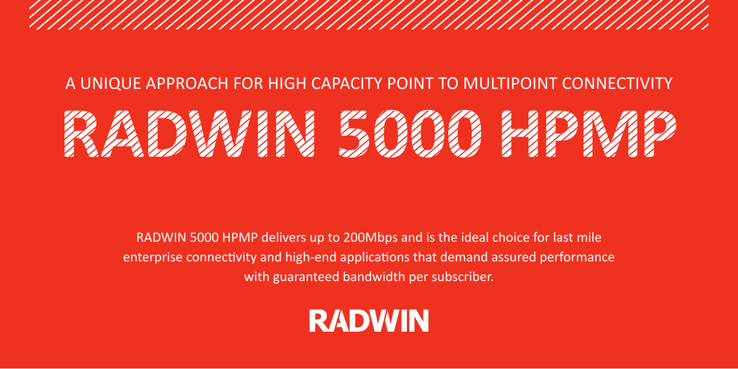#### A UNIQUE APPROACH FOR HIGH CAPACITY POINT TO MULTIPOINT CONNECTIVITY **HPMP 5000 RADWIN**

RADWIN 5000 HPMP delivers up to 200Mbps and is the ideal choice for last mile enterprise connectivity and high-end applications that demand assured performance with guaranteed bandwidth per subscriber.

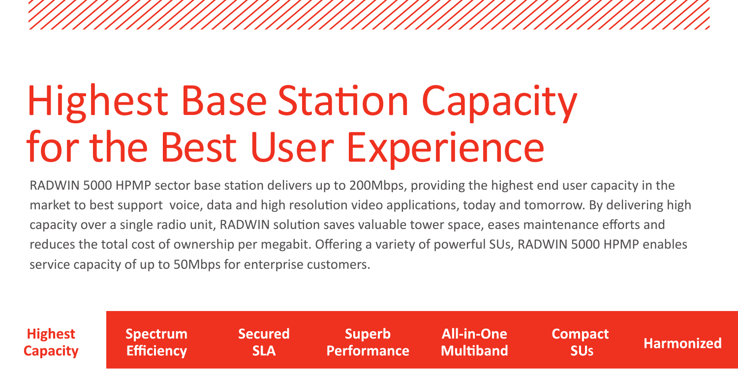# **Highest Base Station Capacity** for the Best User Experience

RADWIN 5000 HPMP sector base station delivers up to 200Mbps, providing the highest end user capacity in the market to best support voice, data and high resolution video applications, today and tomorrow. By delivering high capacity over a single radio unit. RADWIN solution saves valuable tower space, eases maintenance efforts and reduces the total cost of ownership per megabit. Offering a variety of powerful SUs, RADWIN 5000 HPMP enables service capacity of up to 50Mbps for enterprise customers.

| <b>Highest</b>  | <b>Spectrum</b>   | <b>Secured</b> | <b>Superb</b>      | All-in-One       | <b>Compact</b>        | Harmonized |
|-----------------|-------------------|----------------|--------------------|------------------|-----------------------|------------|
| <b>Capacity</b> | <b>Efficiency</b> | <b>SLA</b>     | <b>Performance</b> | <b>Multiband</b> | <b>SU<sub>S</sub></b> |            |
|                 |                   |                |                    |                  |                       |            |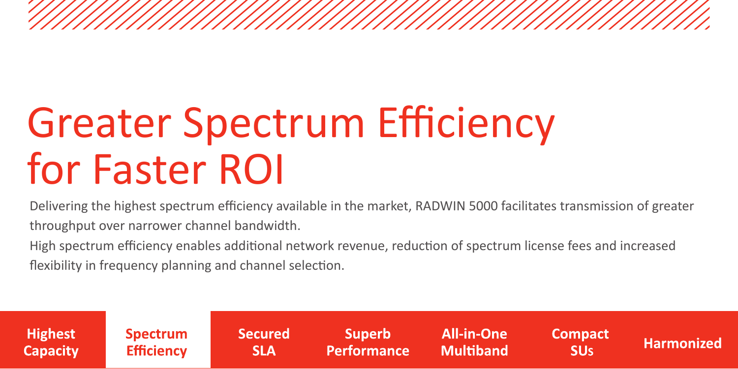### **Greater Spectrum Efficiency** for Faster ROI

Delivering the highest spectrum efficiency available in the market, RADWIN 5000 facilitates transmission of greater throughput over narrower channel bandwidth.

High spectrum efficiency enables additional network revenue, reduction of spectrum license fees and increased flexibility in frequency planning and channel selection.

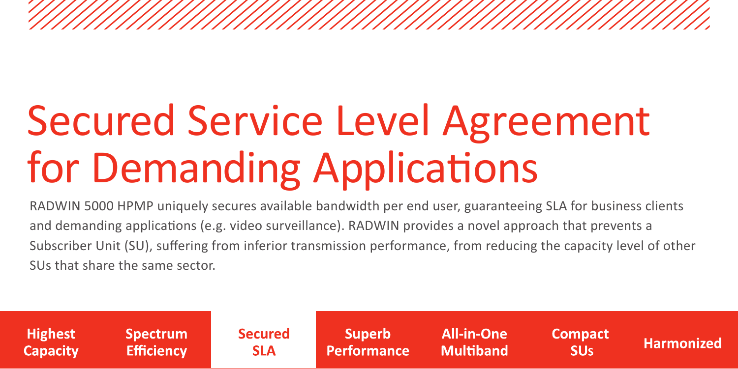# **Secured Service Level Agreement** for Demanding Applications

RADWIN 5000 HPMP uniquely secures available bandwidth per end user, guaranteeing SLA for business clients and demanding applications (e.g. video surveillance). RADWIN provides a novel approach that prevents a Subscriber Unit (SU), suffering from inferior transmission performance, from reducing the capacity level of other SUs that share the same sector.

| <b>Highest</b><br>All-in-One<br><b>Superb</b><br><b>Secured</b><br>Spectrum <b>'</b><br><b>Compact</b><br><b>Multiband</b><br><b>Efficiency</b><br><b>Performance</b><br><b>SLA</b><br><b>Capacity</b><br><b>SU<sub>s</sub></b> | Harmonized |
|---------------------------------------------------------------------------------------------------------------------------------------------------------------------------------------------------------------------------------|------------|
|---------------------------------------------------------------------------------------------------------------------------------------------------------------------------------------------------------------------------------|------------|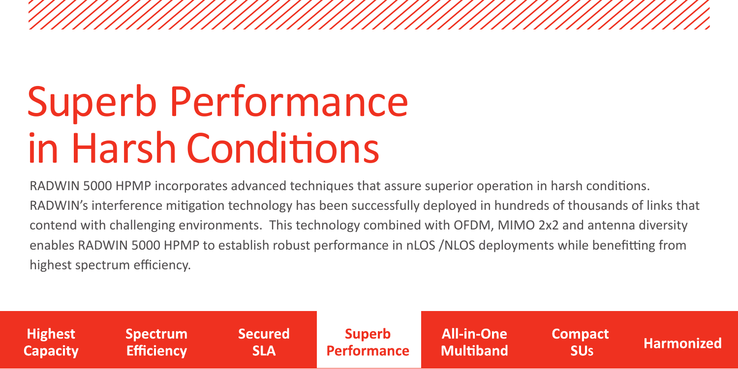# **Superb Performance** in Harsh Conditions

RADWIN 5000 HPMP incorporates advanced techniques that assure superior operation in harsh conditions. RADWIN's interference mitigation technology has been successfully deployed in hundreds of thousands of links that contend with challenging environments. This technology combined with OFDM, MIMO 2x2 and antenna diversity enables RADWIN 5000 HPMP to establish robust performance in nLOS / NLOS deployments while benefitting from highest spectrum efficiency.

| Highest         | <b>Spectrum</b>   | <b>Secured</b> | <b>Superb</b> | <b>All-in-One</b> | <b>Compact</b> | <b>Harmonized</b> |
|-----------------|-------------------|----------------|---------------|-------------------|----------------|-------------------|
| <b>Capacity</b> | <b>Efficiency</b> | SLA            | Performance   | <b>Multiband</b>  | <b>ISUS</b>    |                   |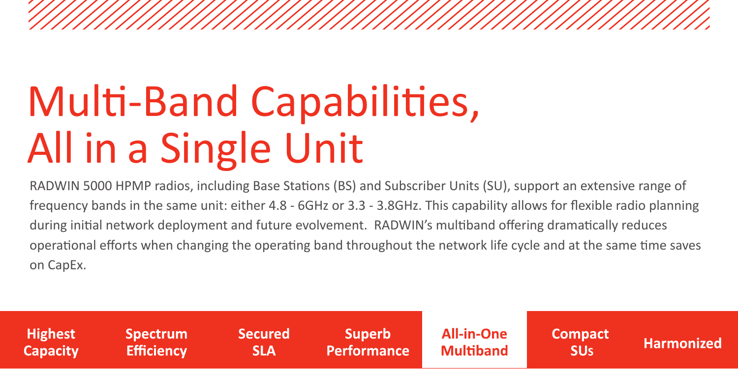# Multi-Band Capabilities, All in a Single Unit

RADWIN 5000 HPMP radios, including Base Stations (BS) and Subscriber Units (SU), support an extensive range of frequency bands in the same unit: either  $4.8 - 6GHz$  or  $3.3 - 3.8 GHz$ . This capability allows for flexible radio planning during initial network deployment and future evolvement. RADWIN's multiband offering dramatically reduces operational efforts when changing the operating band throughout the network life cycle and at the same time saves on CapEx.

| <b>Highest</b> | <b>Spectrum</b>   | <b>Secured</b> | <b>Superb</b> | All-in-One       | <b>Compact</b>        | <b>Harmonized</b> |
|----------------|-------------------|----------------|---------------|------------------|-----------------------|-------------------|
| ⊾ Capacity \   | <b>Efficiency</b> | <b>SLA</b>     | Performance   | <b>Multiband</b> | <b>SU<sub>s</sub></b> |                   |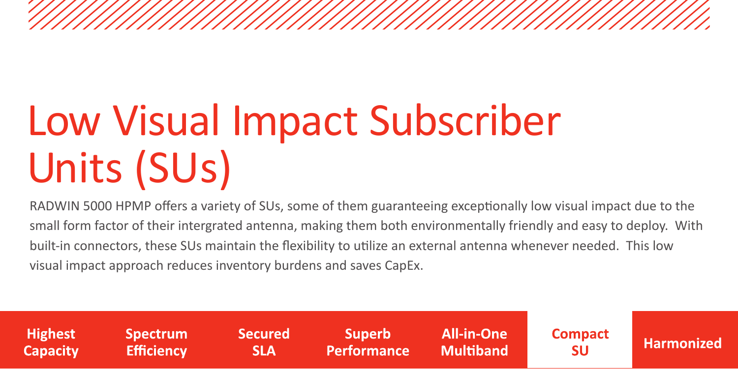# Low Visual Impact Subscriber Units (SUs)

RADWIN 5000 HPMP offers a variety of SUs, some of them guaranteeing exceptionally low visual impact due to the small form factor of their intergrated antenna, making them both environmentally friendly and easy to deploy. With built-in connectors, these SUs maintain the flexibility to utilize an external antenna whenever needed. This low visual impact approach reduces inventory burdens and saves CapEx.

**Highest Spectrum Secured Superb All-in-One Compact Harmonized Capacity Efficiency Performance Multiband SLA** SU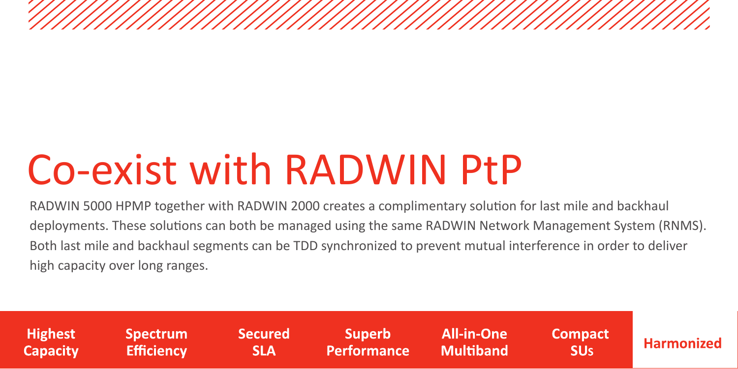#### Co-exist with RADWIN PtP

RADWIN 5000 HPMP together with RADWIN 2000 creates a complimentary solution for last mile and backhaul deployments. These solutions can both be managed using the same RADWIN Network Management System (RNMS). Both last mile and backhaul segments can be TDD synchronized to prevent mutual interference in order to deliver high capacity over long ranges.

| <b>Highest</b><br><b>Capacity</b> | <b>Spectrum</b><br><b>Efficiency</b> | <b>Secured</b><br><b>SLA</b> | Superb<br>Performance Multiband | <b>All-in-One</b> | Compact<br><b>ISUs</b> | Harmonized |
|-----------------------------------|--------------------------------------|------------------------------|---------------------------------|-------------------|------------------------|------------|
|                                   |                                      |                              |                                 |                   |                        |            |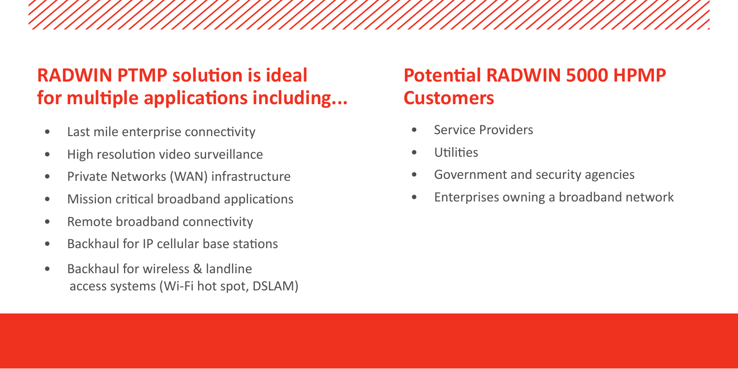#### **RADWIN PTMP solution is ideal** for multiple applications including...

- Last mile enterprise connectivity
- High resolution video surveillance
- Private Networks (WAN) infrastructure
- Mission critical broadband applications
- Remote broadband connectivity
- Backhaul for IP cellular base stations
- Backhaul for wireless & landline access systems (Wi-Fi hot spot, DSLAM)

#### **Potential RADWIN 5000 HPMP Customers**

- Service Providers
- **Utilities**
- Government and security agencies
- Enterprises owning a broadband network